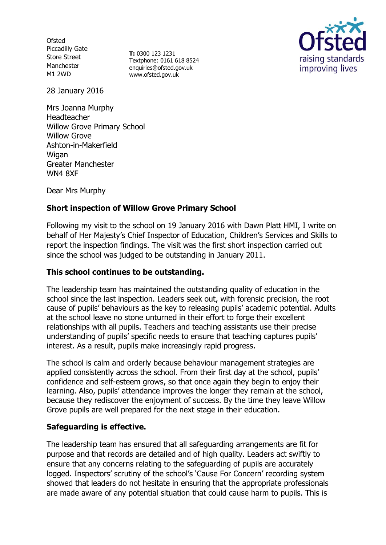**Ofsted** Piccadilly Gate Store Street Manchester M1 2WD

**T:** 0300 123 1231 Textphone: 0161 618 8524 enquiries@ofsted.gov.uk www.ofsted.gov.uk



28 January 2016

Mrs Joanna Murphy Headteacher Willow Grove Primary School Willow Grove Ashton-in-Makerfield **Wigan** Greater Manchester WN4 8XF

Dear Mrs Murphy

# **Short inspection of Willow Grove Primary School**

Following my visit to the school on 19 January 2016 with Dawn Platt HMI, I write on behalf of Her Majesty's Chief Inspector of Education, Children's Services and Skills to report the inspection findings. The visit was the first short inspection carried out since the school was judged to be outstanding in January 2011.

#### **This school continues to be outstanding.**

The leadership team has maintained the outstanding quality of education in the school since the last inspection. Leaders seek out, with forensic precision, the root cause of pupils' behaviours as the key to releasing pupils' academic potential. Adults at the school leave no stone unturned in their effort to forge their excellent relationships with all pupils. Teachers and teaching assistants use their precise understanding of pupils' specific needs to ensure that teaching captures pupils' interest. As a result, pupils make increasingly rapid progress.

The school is calm and orderly because behaviour management strategies are applied consistently across the school. From their first day at the school, pupils' confidence and self-esteem grows, so that once again they begin to enjoy their learning. Also, pupils' attendance improves the longer they remain at the school, because they rediscover the enjoyment of success. By the time they leave Willow Grove pupils are well prepared for the next stage in their education.

#### **Safeguarding is effective.**

The leadership team has ensured that all safeguarding arrangements are fit for purpose and that records are detailed and of high quality. Leaders act swiftly to ensure that any concerns relating to the safeguarding of pupils are accurately logged. Inspectors' scrutiny of the school's 'Cause For Concern' recording system showed that leaders do not hesitate in ensuring that the appropriate professionals are made aware of any potential situation that could cause harm to pupils. This is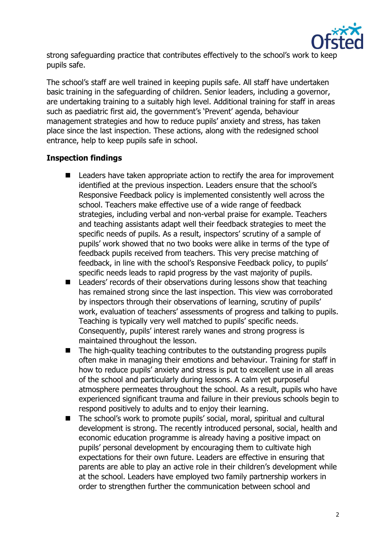

strong safeguarding practice that contributes effectively to the school's work to keep pupils safe.

The school's staff are well trained in keeping pupils safe. All staff have undertaken basic training in the safeguarding of children. Senior leaders, including a governor, are undertaking training to a suitably high level. Additional training for staff in areas such as paediatric first aid, the government's 'Prevent' agenda, behaviour management strategies and how to reduce pupils' anxiety and stress, has taken place since the last inspection. These actions, along with the redesigned school entrance, help to keep pupils safe in school.

# **Inspection findings**

- Leaders have taken appropriate action to rectify the area for improvement identified at the previous inspection. Leaders ensure that the school's Responsive Feedback policy is implemented consistently well across the school. Teachers make effective use of a wide range of feedback strategies, including verbal and non-verbal praise for example. Teachers and teaching assistants adapt well their feedback strategies to meet the specific needs of pupils. As a result, inspectors' scrutiny of a sample of pupils' work showed that no two books were alike in terms of the type of feedback pupils received from teachers. This very precise matching of feedback, in line with the school's Responsive Feedback policy, to pupils' specific needs leads to rapid progress by the vast majority of pupils.
- Leaders' records of their observations during lessons show that teaching has remained strong since the last inspection. This view was corroborated by inspectors through their observations of learning, scrutiny of pupils' work, evaluation of teachers' assessments of progress and talking to pupils. Teaching is typically very well matched to pupils' specific needs. Consequently, pupils' interest rarely wanes and strong progress is maintained throughout the lesson.
- The high-quality teaching contributes to the outstanding progress pupils often make in managing their emotions and behaviour. Training for staff in how to reduce pupils' anxiety and stress is put to excellent use in all areas of the school and particularly during lessons. A calm yet purposeful atmosphere permeates throughout the school. As a result, pupils who have experienced significant trauma and failure in their previous schools begin to respond positively to adults and to enjoy their learning.
- The school's work to promote pupils' social, moral, spiritual and cultural development is strong. The recently introduced personal, social, health and economic education programme is already having a positive impact on pupils' personal development by encouraging them to cultivate high expectations for their own future. Leaders are effective in ensuring that parents are able to play an active role in their children's development while at the school. Leaders have employed two family partnership workers in order to strengthen further the communication between school and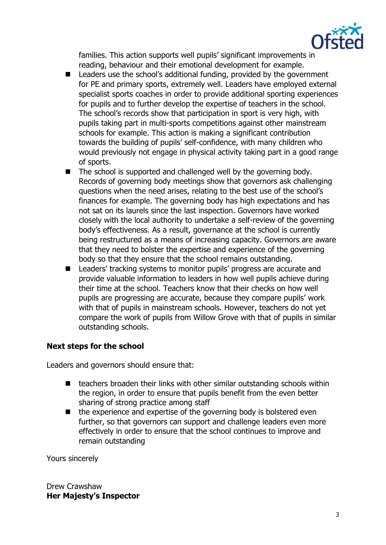

families. This action supports well pupils' significant improvements in reading, behaviour and their emotional development for example.

- Leaders use the school's additional funding, provided by the government for PE and primary sports, extremely well. Leaders have employed external specialist sports coaches in order to provide additional sporting experiences for pupils and to further develop the expertise of teachers in the school. The school's records show that participation in sport is very high, with pupils taking part in multi-sports competitions against other mainstream schools for example. This action is making a significant contribution towards the building of pupils' self-confidence, with many children who would previously not engage in physical activity taking part in a good range of sports.
- $\blacksquare$  The school is supported and challenged well by the governing body. Records of governing body meetings show that governors ask challenging questions when the need arises, relating to the best use of the school's finances for example. The governing body has high expectations and has not sat on its laurels since the last inspection. Governors have worked closely with the local authority to undertake a self-review of the governing body's effectiveness. As a result, governance at the school is currently being restructured as a means of increasing capacity. Governors are aware that they need to bolster the expertise and experience of the governing body so that they ensure that the school remains outstanding.
- Leaders' tracking systems to monitor pupils' progress are accurate and provide valuable information to leaders in how well pupils achieve during their time at the school. Teachers know that their checks on how well pupils are progressing are accurate, because they compare pupils' work with that of pupils in mainstream schools. However, teachers do not yet compare the work of pupils from Willow Grove with that of pupils in similar outstanding schools.

# **Next steps for the school**

Leaders and governors should ensure that:

- $\blacksquare$  teachers broaden their links with other similar outstanding schools within the region, in order to ensure that pupils benefit from the even better sharing of strong practice among staff
- $\blacksquare$  the experience and expertise of the governing body is bolstered even further, so that governors can support and challenge leaders even more effectively in order to ensure that the school continues to improve and remain outstanding

Yours sincerely

Drew Crawshaw **Her Majesty's Inspector**